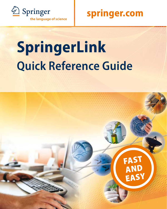

# **Quick Reference Guide SpringerLink**

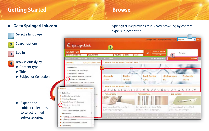# **Getting Started Browse**

### 7**Go to SpringerLink.com**

### Select a language

#### Search options  $\overline{2}$

Log In  $\overline{3}$ 

 $\overline{4}$ 

Browse quickly by  $\blacktriangleright$  Content type

 $\blacktriangleright$  Title

▶ Subject or Collection

 $\blacktriangleright$  Expand the subject collections to select refined sub-categories.

#### **SpringerLink** provides fast & easy browsing by content type, subject or title.

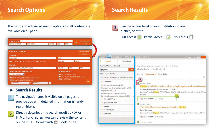# **Search Options Search Options Search Results**

The basic and advanced search options for all content are available on all pages.

#### **SEARCH FOR AUTHOR OR EDITOR** PUBLICATION VOLUME ISSUE PAGE ADVANCED SEABCH CONTENT **STARCH FOR OFILL TEXT OTTLE A ARSTRACT OTTLE ONLY AUTHOR CITATION PUBLICATION (TITLE, DOI, ISSN OR ISBN) VOLUME ISSUE** PAGE **CATEGORY AND DATE LIMITERS ORDER OF RESILTS** ALL CATEGORIES M **O MOST RELEVANT FIRST O MOST RECENTLY PUBLISHED FIRST O ENTIRE RANGE OF PUBLICATION DATES** AI PHARFTICAL **· PUBLICATION DATES BETWEEN** START DATE AND END DATE

### 7**Search Results**

- The navigation area is visible on all pages to provide you with detailed information & handy search filters.
- Directly download the search result as PDF or  $2<sub>z</sub>$ HTML. For chapters you can preview the content online in PDF format with  $\Box$  Look Inside.



| <b>SPRINGERLINK</b><br><b>BROWSE</b>                                                                                                                                                    | <b>TOOLS</b><br><b>HELP</b><br><b>WE SHOPPING CART</b>                                                                                                                                                                                            |
|-----------------------------------------------------------------------------------------------------------------------------------------------------------------------------------------|---------------------------------------------------------------------------------------------------------------------------------------------------------------------------------------------------------------------------------------------------|
| <b>Search</b><br><b>Publications</b>                                                                                                                                                    |                                                                                                                                                                                                                                                   |
| earch Within All Content                                                                                                                                                                | Search results for 'physics' with no filters                                                                                                                                                                                                      |
| GO<br>physics                                                                                                                                                                           | Viewing items 1 - 10 of 860,498                                                                                                                                                                                                                   |
| itter These Results                                                                                                                                                                     | Sort by: Relevance <b>V</b> Date Title                                                                                                                                                                                                            |
| add criteria from below to refine these results                                                                                                                                         | Fire<br>3                                                                                                                                                                                                                                         |
| Collection                                                                                                                                                                              | Book Chapter                                                                                                                                                                                                                                      |
| Physics and Astronomy (449,221)<br>Chemistry and Materials Science (154,038)<br>Engineering (98,213)<br>Mathematics and Statistics (53,581)<br>Earth and Environmental Science (31,091) | Physics of radiatively driven winds by high angular resolution observation<br>Ph. Stee, D. Bonneau, D. Mourard and F. Vakili<br>Lecture Notes in Physics, 1999, Volume 523, Variable and Non-spherical Stellar Winds<br>115-118<br>$\overline{2}$ |
| Copyright Year                                                                                                                                                                          | Download PDF (242.2 KB)                                                                                                                                                                                                                           |
| SpringerLink Date                                                                                                                                                                       | Book Chapter                                                                                                                                                                                                                                      |
| Author                                                                                                                                                                                  | The Color Glass Condensate and Small- x Physics                                                                                                                                                                                                   |
| Content Type                                                                                                                                                                            | Larry McLerran                                                                                                                                                                                                                                    |
| > Language                                                                                                                                                                              | Lecture Notes in Physics, 2002, Volume 583, Lectures on Quark Matter, Pages 291-334                                                                                                                                                               |
|                                                                                                                                                                                         | Download PDF (619.2 KB)                                                                                                                                                                                                                           |
|                                                                                                                                                                                         | Journal Article                                                                                                                                                                                                                                   |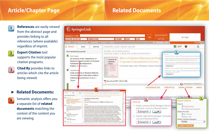# **Article/Chapter Page Related Documents**

**References** are easily viewed from the abstract page and provides linking to all references (where available) regardless of imprint.

**Export Citation** tool  $2$ supports the most popular citation programs.

 $3<sup>1</sup>$ 

**Cited By** provides links to articles which cite the article being viewed.

7**Related Documents:**

Semantic analysis offers you a separate list of **related documents** matching the context of the content you are viewing.

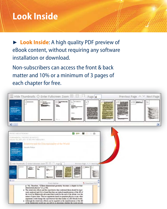## **Look Inside**

► **Look Inside:** A high quality PDF preview of eBook content, without requiring any software installation or download.

Non-subscribers can access the front & back matter and 10% or a minimum of 3 pages of each chapter for free.

| Hide Thumbnails C Enter Fullscreen Zoom H H -                                                                                                   |                                                                                                                                                                                                                                                                                                                                                                                                                                                              |         | Page vi                                           | Previous Page < < Next Page |
|-------------------------------------------------------------------------------------------------------------------------------------------------|--------------------------------------------------------------------------------------------------------------------------------------------------------------------------------------------------------------------------------------------------------------------------------------------------------------------------------------------------------------------------------------------------------------------------------------------------------------|---------|---------------------------------------------------|-----------------------------|
| <b>Grists</b> and<br>to beneficially                                                                                                            | --<br><b><i><u>Bhanasao</u></i></b>                                                                                                                                                                                                                                                                                                                                                                                                                          | 4130    |                                                   | iii <del>portu</del> ž      |
| k                                                                                                                                               |                                                                                                                                                                                                                                                                                                                                                                                                                                                              |         |                                                   |                             |
| PHTSE 5 AND ALTRONOMY                                                                                                                           |                                                                                                                                                                                                                                                                                                                                                                                                                                                              | $2 - 6$ | œ<br>$= 45$                                       |                             |
| FUNDAMENTAL THEORIES OF INVESTS.<br>Volume 153, 2007, DOI: 10.1027/978-1-4020-4219-3                                                            |                                                                                                                                                                                                                                                                                                                                                                                                                                                              |         |                                                   |                             |
| Infamily and<br>The Deferred Suite<br>Life Service<br>G.<br>El Hide Thursbnalls C-Enter Fullscreen Zeon El El Fi Page M<br>E.<br><b>These</b> , |                                                                                                                                                                                                                                                                                                                                                                                                                                                              |         | Privilege Page 20, N. Next Part<br><b>Service</b> |                             |
|                                                                                                                                                 |                                                                                                                                                                                                                                                                                                                                                                                                                                                              |         |                                                   |                             |
| c                                                                                                                                               | Front Natter                                                                                                                                                                                                                                                                                                                                                                                                                                                 |         | <sup>th</sup> Download PDF                        |                             |
|                                                                                                                                                 | p. 76]. Therefore, "[T]hree-dimensional geometry becomes a chapter in four-<br>dimensional physics" [1, p. 80].<br>• The relativistic effects and the experiment that confirmed them should se rigor-<br>ously atalyzed and if it is found that they are indeed manifestations of tae 4D of<br>the word as Minkowski advocated that would be the end of the debate over the<br>nature of space-time. Then no arguments based on quantum physics or any other |         |                                                   |                             |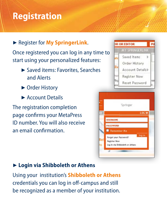# **Registration**

7 Register for **My SpringerLink**. Once registered you can log in any time to start using your personalized features:

- ▶ Saved items: Favorites, Searches and Alerts
- ▶ Order History
- ▶ Account Details

The registration completion page confirms your MetaPress ID number. You will also receive an email confirmation.



#### 7 **Login via Shibboleth or Athens**

Using your institution's **Shibboleth or Athens** credentials you can log in off -campus and still be recognized as a member of your institution.